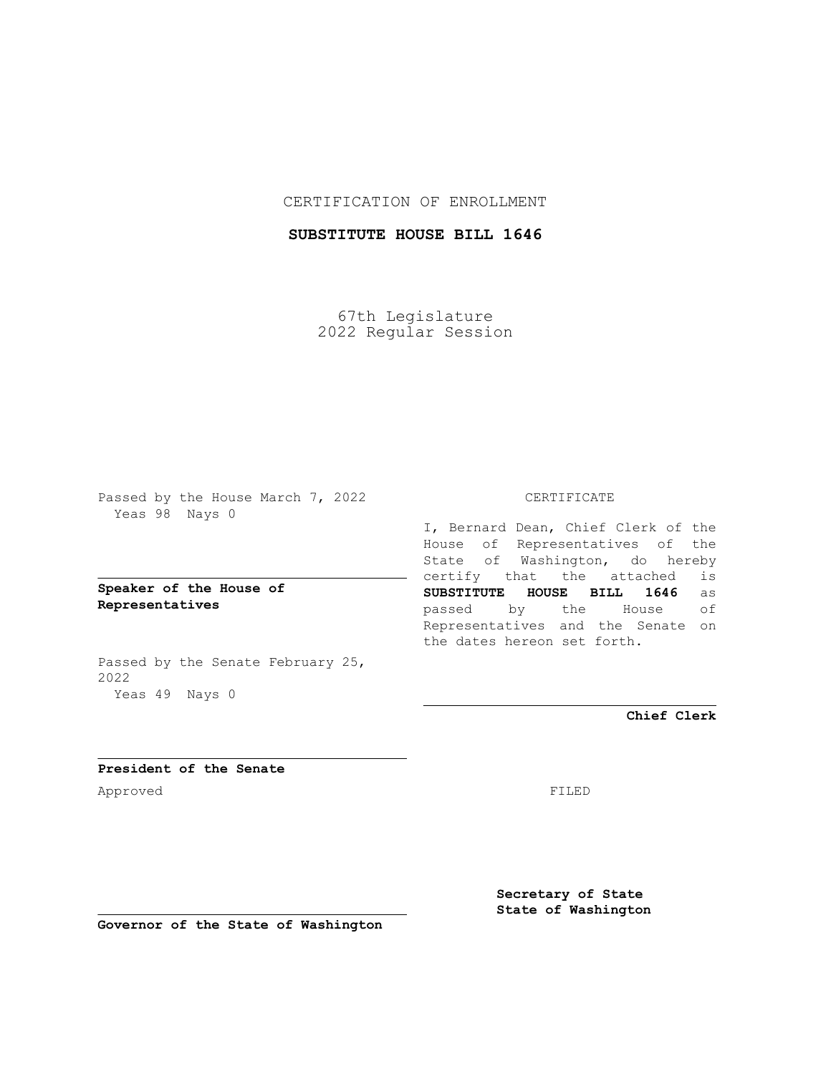## CERTIFICATION OF ENROLLMENT

# **SUBSTITUTE HOUSE BILL 1646**

67th Legislature 2022 Regular Session

Passed by the House March 7, 2022 Yeas 98 Nays 0

## **Speaker of the House of Representatives**

Passed by the Senate February 25, 2022 Yeas 49 Nays 0

#### CERTIFICATE

I, Bernard Dean, Chief Clerk of the House of Representatives of the State of Washington, do hereby certify that the attached is **SUBSTITUTE HOUSE BILL 1646** as passed by the House of Representatives and the Senate on the dates hereon set forth.

**Chief Clerk**

**President of the Senate** Approved FILED

**Secretary of State State of Washington**

**Governor of the State of Washington**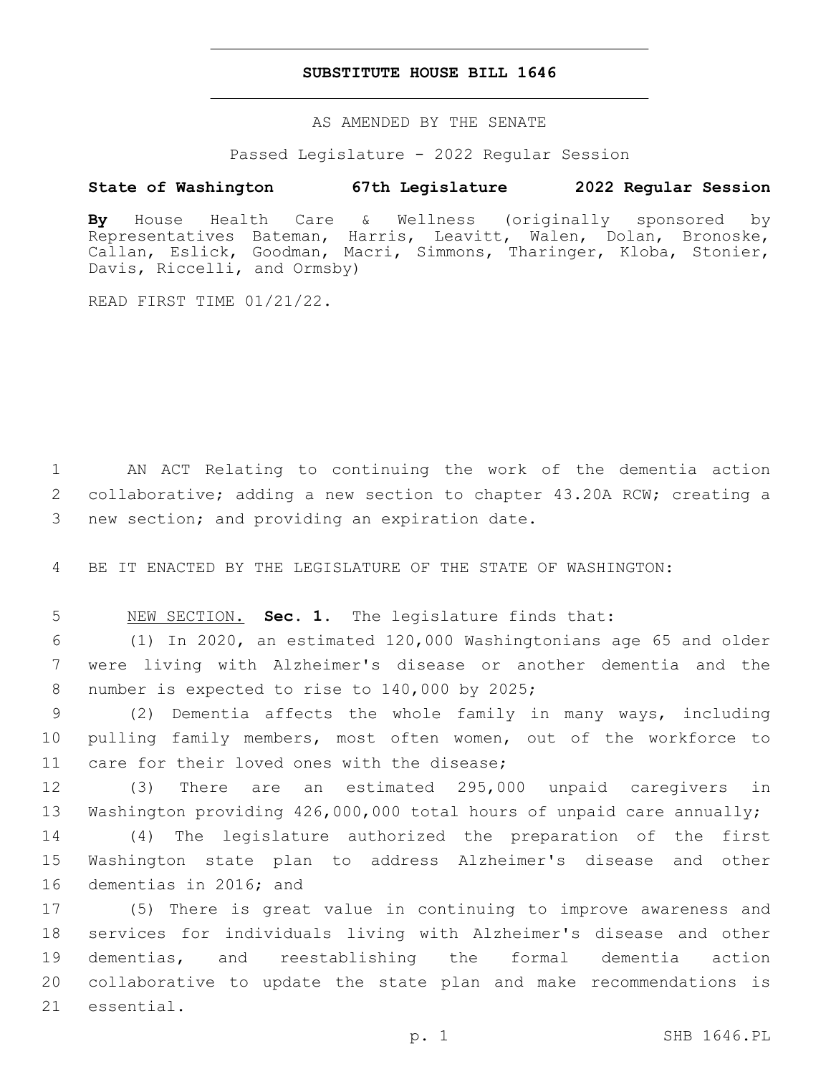### **SUBSTITUTE HOUSE BILL 1646**

AS AMENDED BY THE SENATE

Passed Legislature - 2022 Regular Session

# **State of Washington 67th Legislature 2022 Regular Session**

**By** House Health Care & Wellness (originally sponsored by Representatives Bateman, Harris, Leavitt, Walen, Dolan, Bronoske, Callan, Eslick, Goodman, Macri, Simmons, Tharinger, Kloba, Stonier, Davis, Riccelli, and Ormsby)

READ FIRST TIME 01/21/22.

1 AN ACT Relating to continuing the work of the dementia action 2 collaborative; adding a new section to chapter 43.20A RCW; creating a 3 new section; and providing an expiration date.

4 BE IT ENACTED BY THE LEGISLATURE OF THE STATE OF WASHINGTON:

5 NEW SECTION. **Sec. 1.** The legislature finds that:

6 (1) In 2020, an estimated 120,000 Washingtonians age 65 and older 7 were living with Alzheimer's disease or another dementia and the 8 number is expected to rise to 140,000 by 2025;

9 (2) Dementia affects the whole family in many ways, including 10 pulling family members, most often women, out of the workforce to 11 care for their loved ones with the disease;

12 (3) There are an estimated 295,000 unpaid caregivers in 13 Washington providing 426,000,000 total hours of unpaid care annually;

14 (4) The legislature authorized the preparation of the first 15 Washington state plan to address Alzheimer's disease and other 16 dementias in 2016; and

 (5) There is great value in continuing to improve awareness and services for individuals living with Alzheimer's disease and other dementias, and reestablishing the formal dementia action collaborative to update the state plan and make recommendations is 21 essential.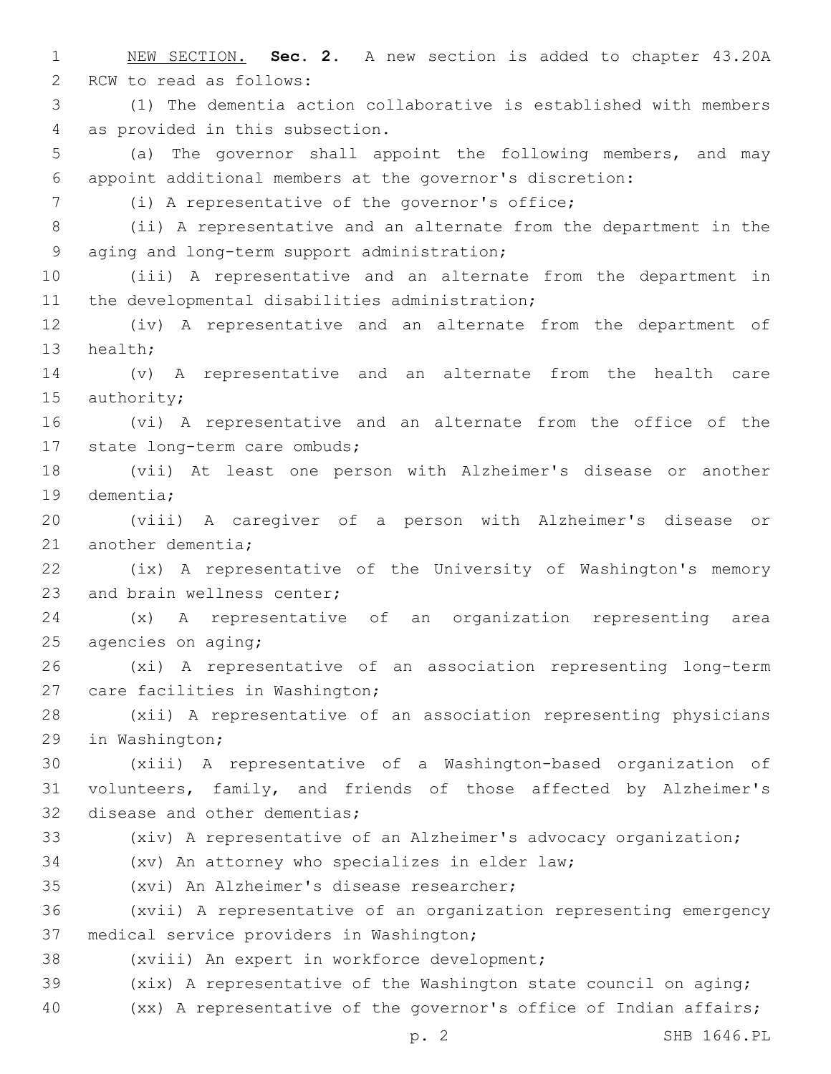1 NEW SECTION. **Sec. 2.** A new section is added to chapter 43.20A 2 RCW to read as follows: 3 (1) The dementia action collaborative is established with members 4 as provided in this subsection. 5 (a) The governor shall appoint the following members, and may 6 appoint additional members at the governor's discretion: (i) A representative of the governor's office;7 8 (ii) A representative and an alternate from the department in the 9 aging and long-term support administration; 10 (iii) A representative and an alternate from the department in 11 the developmental disabilities administration; 12 (iv) A representative and an alternate from the department of 13 health; 14 (v) A representative and an alternate from the health care 15 authority; 16 (vi) A representative and an alternate from the office of the 17 state long-term care ombuds; 18 (vii) At least one person with Alzheimer's disease or another 19 dementia; 20 (viii) A caregiver of a person with Alzheimer's disease or 21 another dementia; 22 (ix) A representative of the University of Washington's memory 23 and brain wellness center; 24 (x) A representative of an organization representing area 25 agencies on aging; 26 (xi) A representative of an association representing long-term 27 care facilities in Washington; 28 (xii) A representative of an association representing physicians 29 in Washington; 30 (xiii) A representative of a Washington-based organization of 31 volunteers, family, and friends of those affected by Alzheimer's 32 disease and other dementias; 33 (xiv) A representative of an Alzheimer's advocacy organization; 34 (xv) An attorney who specializes in elder law; 35 (xvi) An Alzheimer's disease researcher; 36 (xvii) A representative of an organization representing emergency 37 medical service providers in Washington; 38 (xviii) An expert in workforce development; 39 (xix) A representative of the Washington state council on aging; 40 (xx) A representative of the governor's office of Indian affairs;

p. 2 SHB 1646.PL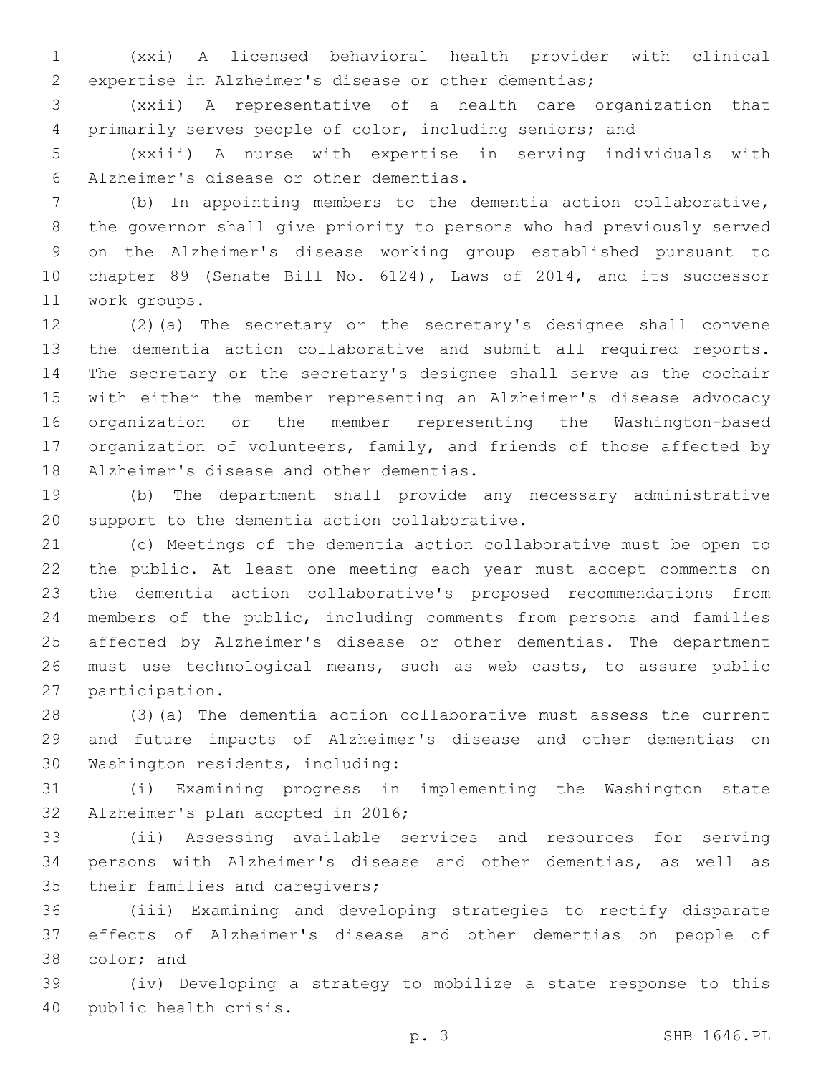(xxi) A licensed behavioral health provider with clinical expertise in Alzheimer's disease or other dementias;

 (xxii) A representative of a health care organization that primarily serves people of color, including seniors; and

 (xxiii) A nurse with expertise in serving individuals with Alzheimer's disease or other dementias.6

 (b) In appointing members to the dementia action collaborative, the governor shall give priority to persons who had previously served on the Alzheimer's disease working group established pursuant to chapter 89 (Senate Bill No. 6124), Laws of 2014, and its successor work groups.11

 (2)(a) The secretary or the secretary's designee shall convene the dementia action collaborative and submit all required reports. The secretary or the secretary's designee shall serve as the cochair with either the member representing an Alzheimer's disease advocacy organization or the member representing the Washington-based organization of volunteers, family, and friends of those affected by 18 Alzheimer's disease and other dementias.

 (b) The department shall provide any necessary administrative 20 support to the dementia action collaborative.

 (c) Meetings of the dementia action collaborative must be open to the public. At least one meeting each year must accept comments on the dementia action collaborative's proposed recommendations from members of the public, including comments from persons and families affected by Alzheimer's disease or other dementias. The department must use technological means, such as web casts, to assure public 27 participation.

 (3)(a) The dementia action collaborative must assess the current and future impacts of Alzheimer's disease and other dementias on 30 Washington residents, including:

 (i) Examining progress in implementing the Washington state 32 Alzheimer's plan adopted in 2016;

 (ii) Assessing available services and resources for serving persons with Alzheimer's disease and other dementias, as well as 35 their families and caregivers;

 (iii) Examining and developing strategies to rectify disparate effects of Alzheimer's disease and other dementias on people of 38 color; and

 (iv) Developing a strategy to mobilize a state response to this 40 public health crisis.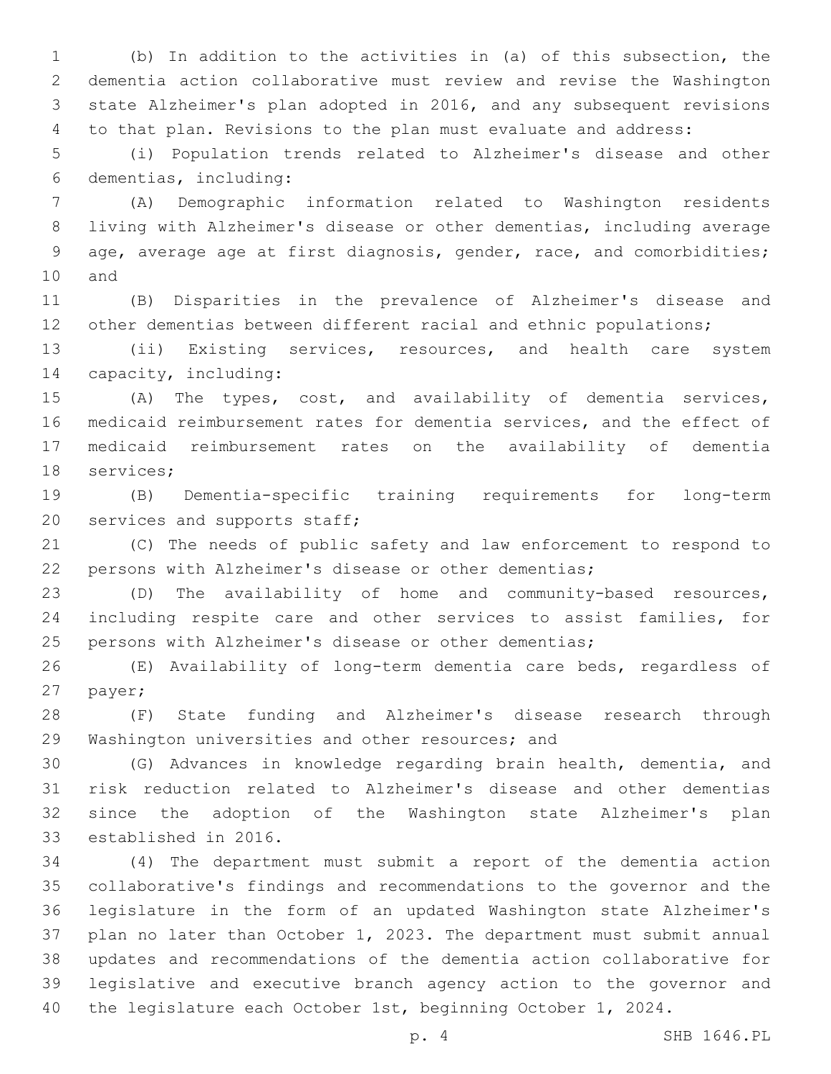(b) In addition to the activities in (a) of this subsection, the dementia action collaborative must review and revise the Washington state Alzheimer's plan adopted in 2016, and any subsequent revisions to that plan. Revisions to the plan must evaluate and address:

 (i) Population trends related to Alzheimer's disease and other dementias, including:6

 (A) Demographic information related to Washington residents living with Alzheimer's disease or other dementias, including average age, average age at first diagnosis, gender, race, and comorbidities; 10 and

 (B) Disparities in the prevalence of Alzheimer's disease and 12 other dementias between different racial and ethnic populations;

 (ii) Existing services, resources, and health care system 14 capacity, including:

 (A) The types, cost, and availability of dementia services, medicaid reimbursement rates for dementia services, and the effect of medicaid reimbursement rates on the availability of dementia 18 services;

 (B) Dementia-specific training requirements for long-term 20 services and supports staff;

 (C) The needs of public safety and law enforcement to respond to persons with Alzheimer's disease or other dementias;

 (D) The availability of home and community-based resources, including respite care and other services to assist families, for persons with Alzheimer's disease or other dementias;

 (E) Availability of long-term dementia care beds, regardless of 27 payer;

 (F) State funding and Alzheimer's disease research through 29 Washington universities and other resources; and

 (G) Advances in knowledge regarding brain health, dementia, and risk reduction related to Alzheimer's disease and other dementias since the adoption of the Washington state Alzheimer's plan 33 established in 2016.

 (4) The department must submit a report of the dementia action collaborative's findings and recommendations to the governor and the legislature in the form of an updated Washington state Alzheimer's plan no later than October 1, 2023. The department must submit annual updates and recommendations of the dementia action collaborative for legislative and executive branch agency action to the governor and 40 the legislature each October 1st, beginning October 1, 2024.